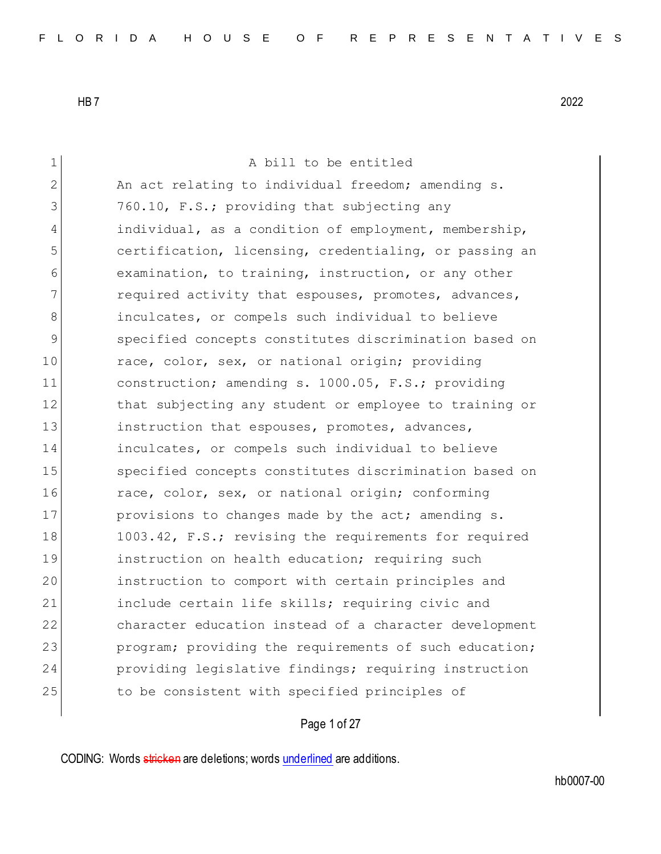1 A bill to be entitled 2 An act relating to individual freedom; amending s. 3 760.10, F.S.; providing that subjecting any 4 individual, as a condition of employment, membership, 5 certification, licensing, credentialing, or passing an 6 examination, to training, instruction, or any other 7 **required activity that espouses, promotes, advances,** 8 **inculcates, or compels such individual to believe** 9 specified concepts constitutes discrimination based on 10 race, color, sex, or national origin; providing 11 construction; amending s. 1000.05, F.S.; providing 12 that subjecting any student or employee to training or 13 instruction that espouses, promotes, advances, 14 inculcates, or compels such individual to believe 15 Specified concepts constitutes discrimination based on 16 race, color, sex, or national origin; conforming 17 provisions to changes made by the act; amending s. 18 1003.42, F.S.; revising the requirements for required 19 **instruction on health education;** requiring such 20 instruction to comport with certain principles and 21 include certain life skills; requiring civic and 22 character education instead of a character development 23 program; providing the requirements of such education; 24 providing legislative findings; requiring instruction 25 to be consistent with specified principles of

# Page 1 of 27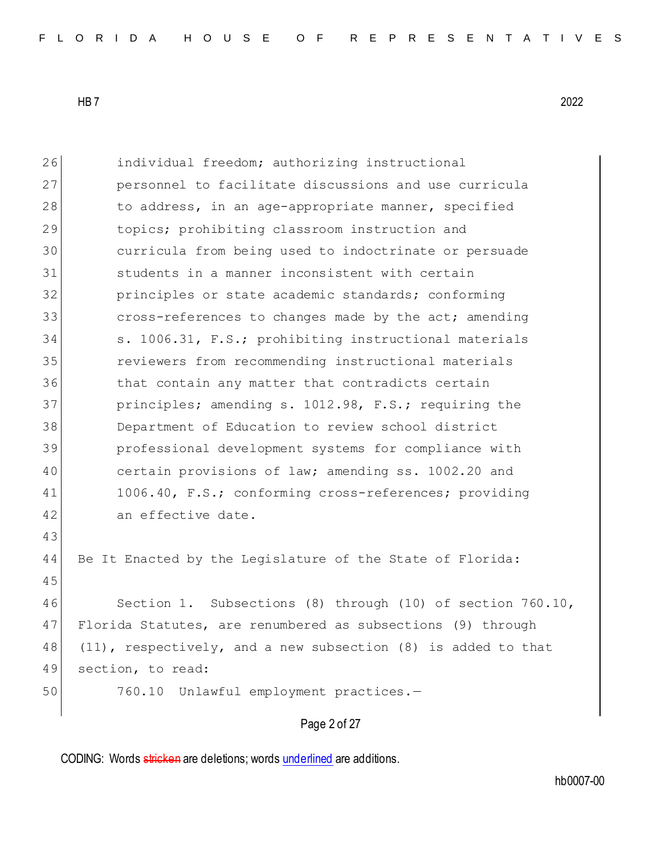| 26 | individual freedom; authorizing instructional                 |
|----|---------------------------------------------------------------|
| 27 | personnel to facilitate discussions and use curricula         |
| 28 | to address, in an age-appropriate manner, specified           |
| 29 | topics; prohibiting classroom instruction and                 |
| 30 | curricula from being used to indoctrinate or persuade         |
| 31 | students in a manner inconsistent with certain                |
| 32 | principles or state academic standards; conforming            |
| 33 | cross-references to changes made by the act; amending         |
| 34 | s. 1006.31, F.S.; prohibiting instructional materials         |
| 35 | reviewers from recommending instructional materials           |
| 36 | that contain any matter that contradicts certain              |
| 37 | principles; amending s. 1012.98, F.S.; requiring the          |
| 38 | Department of Education to review school district             |
| 39 | professional development systems for compliance with          |
| 40 | certain provisions of law; amending ss. 1002.20 and           |
| 41 | 1006.40, F.S.; conforming cross-references; providing         |
| 42 | an effective date.                                            |
| 43 |                                                               |
| 44 | Be It Enacted by the Legislature of the State of Florida:     |
| 45 |                                                               |
| 46 | Section 1. Subsections (8) through (10) of section 760.10,    |
| 47 | Florida Statutes, are renumbered as subsections (9) through   |
| 48 | (11), respectively, and a new subsection (8) is added to that |
| 49 | section, to read:                                             |
| 50 | 760.10 Unlawful employment practices.-                        |
|    | Page 2 of 27                                                  |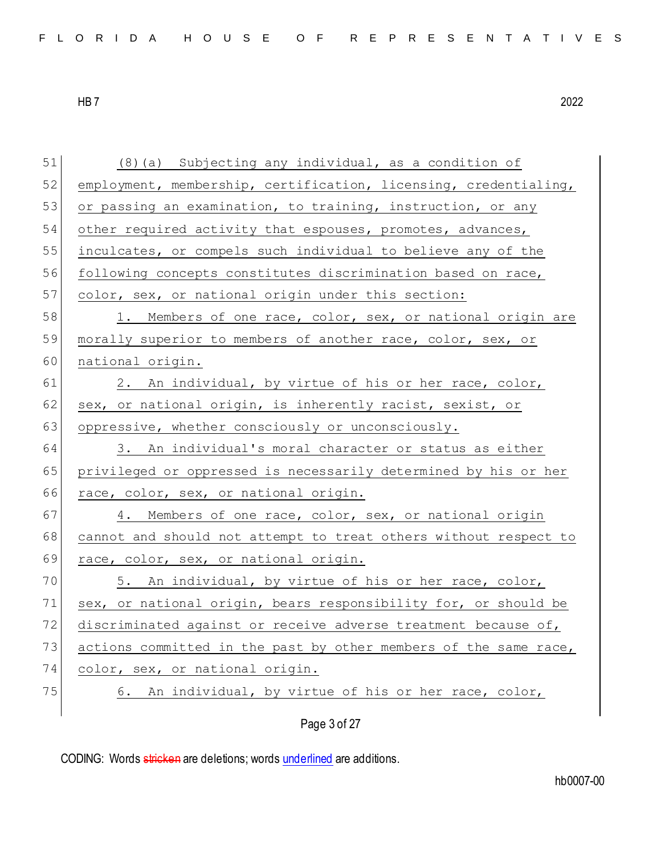| 51 | (8) (a) Subjecting any individual, as a condition of             |
|----|------------------------------------------------------------------|
| 52 | employment, membership, certification, licensing, credentialing, |
| 53 | or passing an examination, to training, instruction, or any      |
| 54 | other required activity that espouses, promotes, advances,       |
| 55 | inculcates, or compels such individual to believe any of the     |
| 56 | following concepts constitutes discrimination based on race,     |
| 57 | color, sex, or national origin under this section:               |
| 58 | 1. Members of one race, color, sex, or national origin are       |
| 59 | morally superior to members of another race, color, sex, or      |
| 60 | national origin.                                                 |
| 61 | 2. An individual, by virtue of his or her race, color,           |
| 62 | sex, or national origin, is inherently racist, sexist, or        |
| 63 | oppressive, whether consciously or unconsciously.                |
| 64 | 3. An individual's moral character or status as either           |
| 65 | privileged or oppressed is necessarily determined by his or her  |
| 66 | race, color, sex, or national origin.                            |
| 67 | 4. Members of one race, color, sex, or national origin           |
| 68 | cannot and should not attempt to treat others without respect to |
| 69 | race, color, sex, or national origin.                            |
| 70 | 5. An individual, by virtue of his or her race, color,           |
| 71 | sex, or national origin, bears responsibility for, or should be  |
| 72 | discriminated against or receive adverse treatment because of,   |
| 73 | actions committed in the past by other members of the same race, |
| 74 | color, sex, or national origin.                                  |
| 75 | An individual, by virtue of his or her race, color,<br>6.        |
|    | Page 3 of 27                                                     |
|    |                                                                  |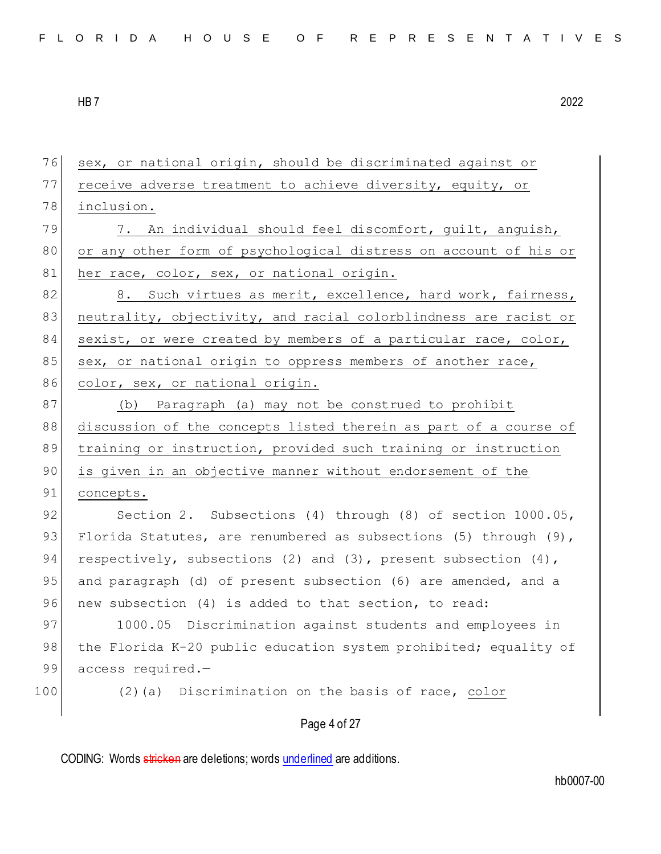Page 4 of 27 76 sex, or national origin, should be discriminated against or 77 receive adverse treatment to achieve diversity, equity, or 78 inclusion. 79 7. An individual should feel discomfort, quilt, anguish, 80 or any other form of psychological distress on account of his or 81 her race, color, sex, or national origin. 82 8. Such virtues as merit, excellence, hard work, fairness, 83 neutrality, objectivity, and racial colorblindness are racist or 84 sexist, or were created by members of a particular race, color, 85 sex, or national origin to oppress members of another race, 86 color, sex, or national origin. 87 (b) Paragraph (a) may not be construed to prohibit 88 discussion of the concepts listed therein as part of a course of 89 training or instruction, provided such training or instruction 90 is given in an objective manner without endorsement of the 91 concepts. 92 Section 2. Subsections (4) through (8) of section 1000.05, 93 Florida Statutes, are renumbered as subsections (5) through (9), 94 respectively, subsections (2) and (3), present subsection  $(4)$ , 95 and paragraph (d) of present subsection (6) are amended, and a 96 new subsection (4) is added to that section, to read: 97 1000.05 Discrimination against students and employees in 98 the Florida K-20 public education system prohibited; equality of 99 access required.-100 (2)(a) Discrimination on the basis of race, color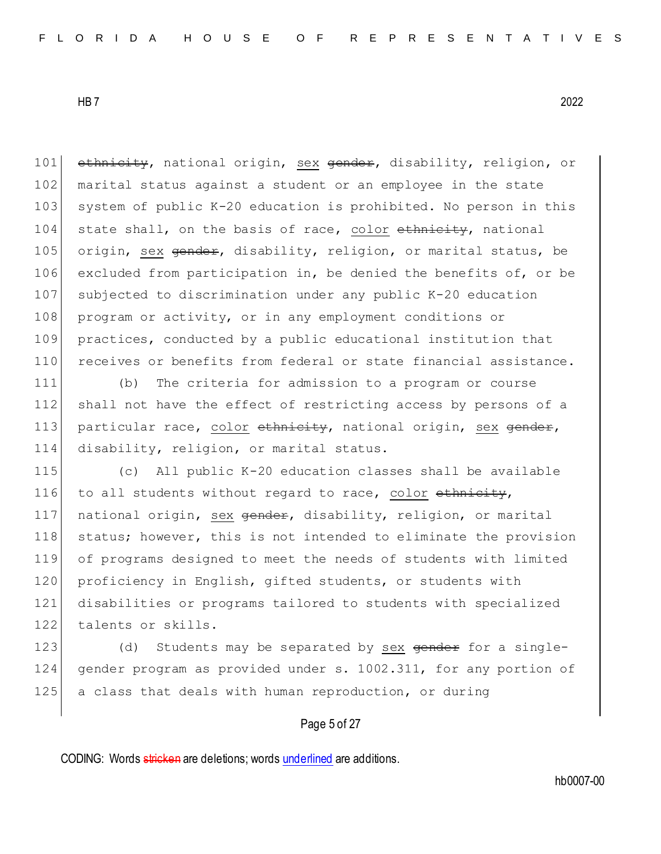101 ethnicity, national origin, sex gender, disability, religion, or 102 marital status against a student or an employee in the state 103 system of public K-20 education is prohibited. No person in this  $104$  state shall, on the basis of race, color ethnicity, national 105 origin, sex gender, disability, religion, or marital status, be 106 excluded from participation in, be denied the benefits of, or be 107 subjected to discrimination under any public K-20 education 108 program or activity, or in any employment conditions or 109 practices, conducted by a public educational institution that 110 receives or benefits from federal or state financial assistance.

111 (b) The criteria for admission to a program or course 112 shall not have the effect of restricting access by persons of a 113 particular race, color ethnicity, national origin, sex gender, 114 disability, religion, or marital status.

115 (c) All public K-20 education classes shall be available 116 to all students without regard to race, color ethnicity, 117 national origin, sex gender, disability, religion, or marital 118 status; however, this is not intended to eliminate the provision 119 of programs designed to meet the needs of students with limited 120 proficiency in English, gifted students, or students with 121 disabilities or programs tailored to students with specialized 122 talents or skills.

123 (d) Students may be separated by sex gender for a single-124 gender program as provided under s. 1002.311, for any portion of 125 a class that deals with human reproduction, or during

## Page 5 of 27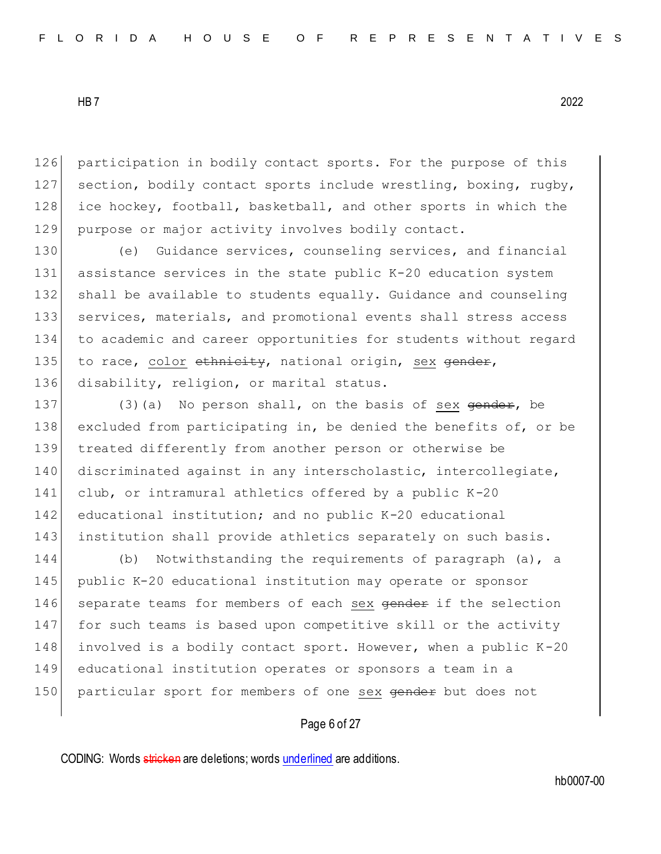126 participation in bodily contact sports. For the purpose of this 127 section, bodily contact sports include wrestling, boxing, rugby, 128 ice hockey, football, basketball, and other sports in which the 129 purpose or major activity involves bodily contact.

130 (e) Guidance services, counseling services, and financial assistance services in the state public K-20 education system shall be available to students equally. Guidance and counseling services, materials, and promotional events shall stress access to academic and career opportunities for students without regard 135 to race, color  $\epsilon$ thnicity, national origin, sex gender, disability, religion, or marital status.

137 (3)(a) No person shall, on the basis of sex  $\theta$  gender, be 138 excluded from participating in, be denied the benefits of, or be 139 treated differently from another person or otherwise be 140 discriminated against in any interscholastic, intercollegiate, 141 club, or intramural athletics offered by a public K-20 142 educational institution; and no public K-20 educational 143 institution shall provide athletics separately on such basis.

144 (b) Notwithstanding the requirements of paragraph (a), a 145 public K-20 educational institution may operate or sponsor 146 separate teams for members of each sex gender if the selection 147 for such teams is based upon competitive skill or the activity 148 involved is a bodily contact sport. However, when a public  $K-20$ 149 educational institution operates or sponsors a team in a 150 particular sport for members of one sex gender but does not

Page 6 of 27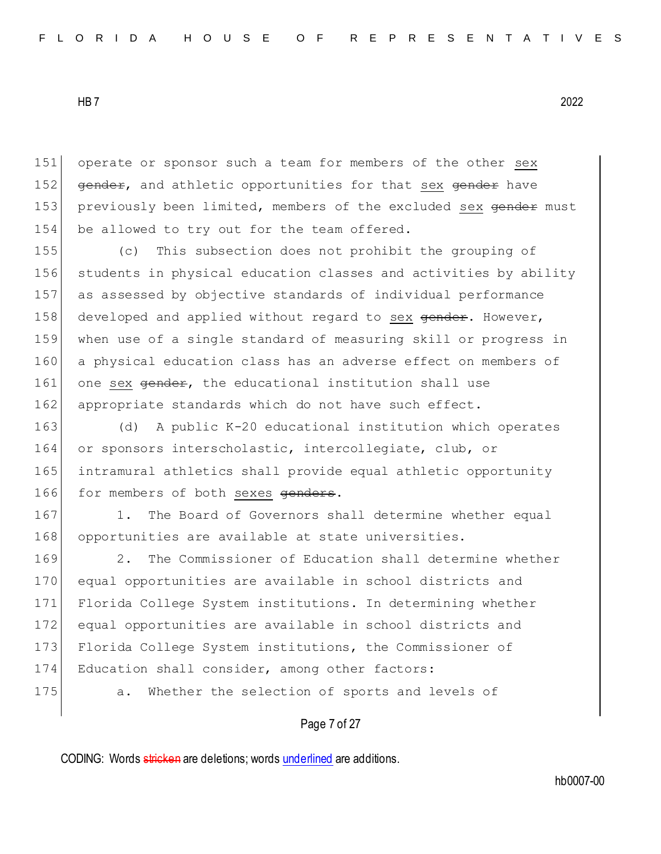151 operate or sponsor such a team for members of the other sex 152 gender, and athletic opportunities for that sex gender have 153 previously been limited, members of the excluded sex gender must 154 be allowed to try out for the team offered.

 (c) This subsection does not prohibit the grouping of students in physical education classes and activities by ability as assessed by objective standards of individual performance 158 developed and applied without regard to sex gender. However, when use of a single standard of measuring skill or progress in a physical education class has an adverse effect on members of 161 one sex  $\theta$  or the educational institution shall use 162 appropriate standards which do not have such effect.

163 (d) A public K-20 educational institution which operates 164 or sponsors interscholastic, intercollegiate, club, or 165 intramural athletics shall provide equal athletic opportunity 166 for members of both sexes genders.

167 1. The Board of Governors shall determine whether equal 168 opportunities are available at state universities.

169 2. The Commissioner of Education shall determine whether 170 equal opportunities are available in school districts and 171 Florida College System institutions. In determining whether 172 equal opportunities are available in school districts and 173 Florida College System institutions, the Commissioner of 174 Education shall consider, among other factors: 175 a. Whether the selection of sports and levels of

### Page 7 of 27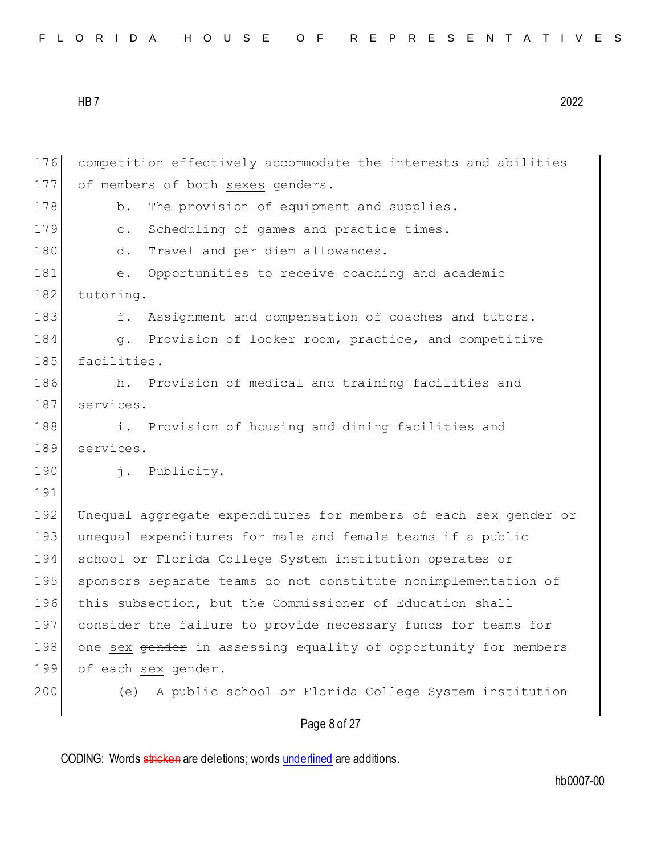| FLORIDA HOUSE OF REPRESENTATIVES |  |  |  |  |  |  |  |  |  |  |  |  |  |  |  |  |  |  |  |  |  |  |  |  |  |  |  |  |  |  |
|----------------------------------|--|--|--|--|--|--|--|--|--|--|--|--|--|--|--|--|--|--|--|--|--|--|--|--|--|--|--|--|--|--|
|----------------------------------|--|--|--|--|--|--|--|--|--|--|--|--|--|--|--|--|--|--|--|--|--|--|--|--|--|--|--|--|--|--|

176 competition effectively accommodate the interests and abilities 177 of members of both sexes genders. 178 b. The provision of equipment and supplies. 179 c. Scheduling of games and practice times. 180 d. Travel and per diem allowances. 181 e. Opportunities to receive coaching and academic 182 tutoring. 183 f. Assignment and compensation of coaches and tutors. 184 g. Provision of locker room, practice, and competitive 185 facilities. 186 h. Provision of medical and training facilities and 187 services. 188 i. Provision of housing and dining facilities and 189 services. 190 j. Publicity. 191 192 Unequal aggregate expenditures for members of each sex gender or 193 unequal expenditures for male and female teams if a public 194 school or Florida College System institution operates or 195 sponsors separate teams do not constitute nonimplementation of 196 this subsection, but the Commissioner of Education shall 197 consider the failure to provide necessary funds for teams for 198 one sex gender in assessing equality of opportunity for members 199 of each sex gender. 200 (e) A public school or Florida College System institution

Page 8 of 27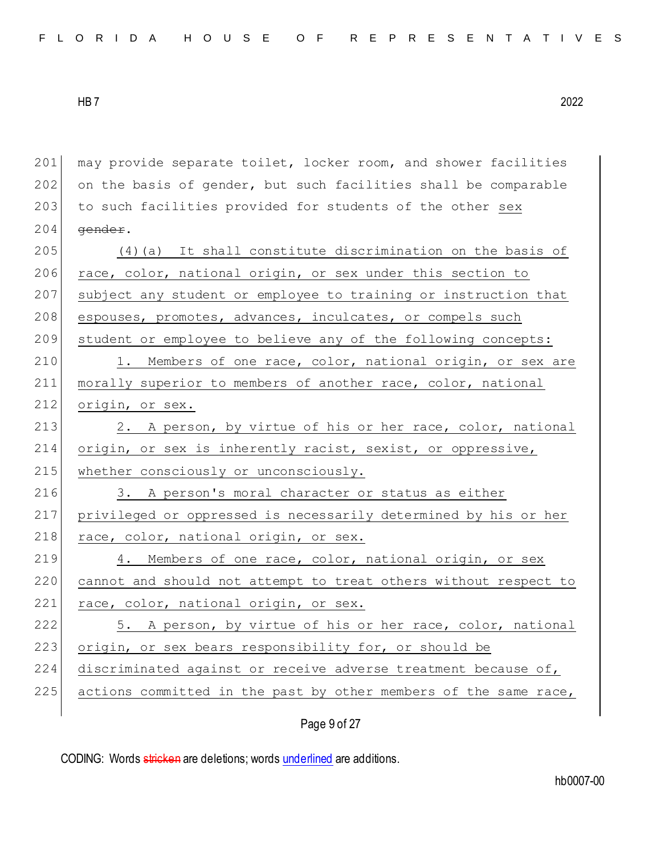| FLORIDA HOUSE OF REPRESENTATIVES |  |  |
|----------------------------------|--|--|
|----------------------------------|--|--|

201 may provide separate toilet, locker room, and shower facilities  $202$  on the basis of gender, but such facilities shall be comparable 203 to such facilities provided for students of the other sex  $204$  gender.  $205$  (4)(a) It shall constitute discrimination on the basis of 206 race, color, national origin, or sex under this section to 207 subject any student or employee to training or instruction that 208 espouses, promotes, advances, inculcates, or compels such 209 student or employee to believe any of the following concepts: 210 1. Members of one race, color, national origin, or sex are 211 morally superior to members of another race, color, national 212 origin, or sex. 213 2. A person, by virtue of his or her race, color, national 214 origin, or sex is inherently racist, sexist, or oppressive, 215 whether consciously or unconsciously. 216 3. A person's moral character or status as either 217 privileged or oppressed is necessarily determined by his or her 218 race, color, national origin, or sex. 219 4. Members of one race, color, national origin, or sex 220 cannot and should not attempt to treat others without respect to 221 race, color, national origin, or sex. 222 5. A person, by virtue of his or her race, color, national 223 origin, or sex bears responsibility for, or should be 224 discriminated against or receive adverse treatment because of, 225 actions committed in the past by other members of the same race,

Page 9 of 27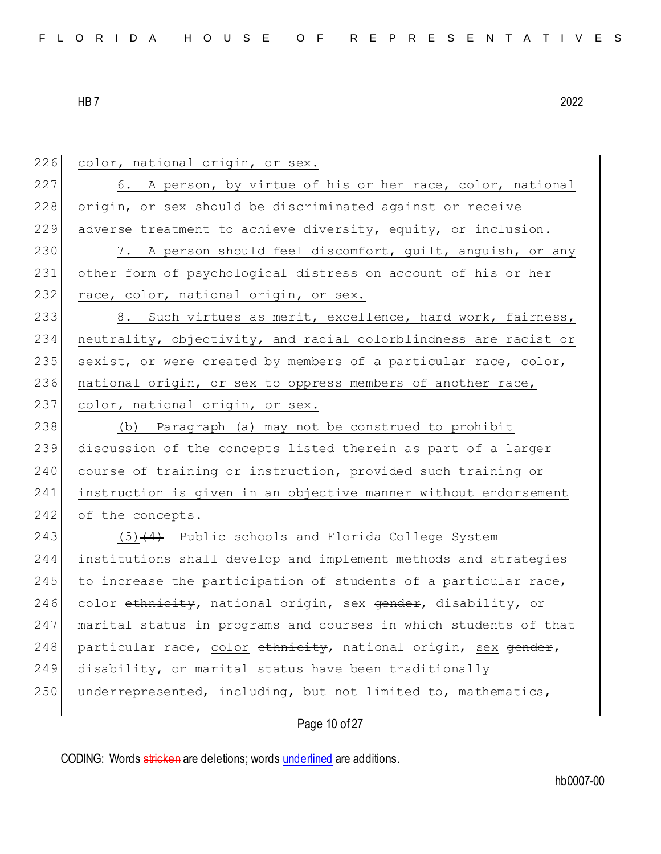226 color, national origin, or sex. 227 6. A person, by virtue of his or her race, color, national 228 origin, or sex should be discriminated against or receive 229 adverse treatment to achieve diversity, equity, or inclusion. 230 7. A person should feel discomfort, quilt, anguish, or any 231 other form of psychological distress on account of his or her 232 race, color, national origin, or sex. 233 8. Such virtues as merit, excellence, hard work, fairness, 234 neutrality, objectivity, and racial colorblindness are racist or 235 sexist, or were created by members of a particular race, color, 236 national origin, or sex to oppress members of another race, 237 color, national origin, or sex. 238 (b) Paragraph (a) may not be construed to prohibit 239 discussion of the concepts listed therein as part of a larger 240 course of training or instruction, provided such training or 241 instruction is given in an objective manner without endorsement 242 of the concepts. 243  $(5)$   $(4)$  Public schools and Florida College System 244 institutions shall develop and implement methods and strategies 245 to increase the participation of students of a particular race, 246 color ethnicity, national origin, sex gender, disability, or 247 marital status in programs and courses in which students of that 248 particular race, color  $\epsilon$ thnicity, national origin, sex gender, 249 disability, or marital status have been traditionally 250 underrepresented, including, but not limited to, mathematics,

Page 10 of 27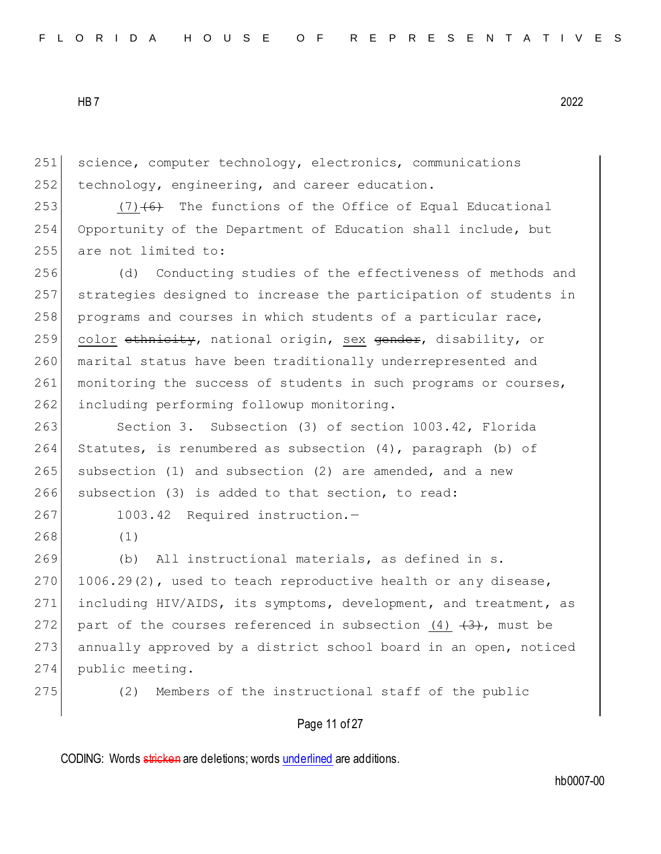251 science, computer technology, electronics, communications  $252$  technology, engineering, and career education.

253  $(7)$   $(6)$  The functions of the Office of Equal Educational 254 Opportunity of the Department of Education shall include, but 255 are not limited to:

256 (d) Conducting studies of the effectiveness of methods and 257 strategies designed to increase the participation of students in 258 programs and courses in which students of a particular race, 259 color ethnicity, national origin, sex gender, disability, or 260 marital status have been traditionally underrepresented and 261 monitoring the success of students in such programs or courses, 262 including performing followup monitoring.

263 Section 3. Subsection (3) of section 1003.42, Florida Statutes, is renumbered as subsection (4), paragraph (b) of subsection (1) and subsection (2) are amended, and a new subsection (3) is added to that section, to read:

267 1003.42 Required instruction.-

268 (1)

269 (b) All instructional materials, as defined in s. 270  $1006.29(2)$ , used to teach reproductive health or any disease, 271 including HIV/AIDS, its symptoms, development, and treatment, as 272 part of the courses referenced in subsection  $(4)$   $(3)$ , must be 273 annually approved by a district school board in an open, noticed 274 public meeting.

275 (2) Members of the instructional staff of the public

#### Page 11 of 27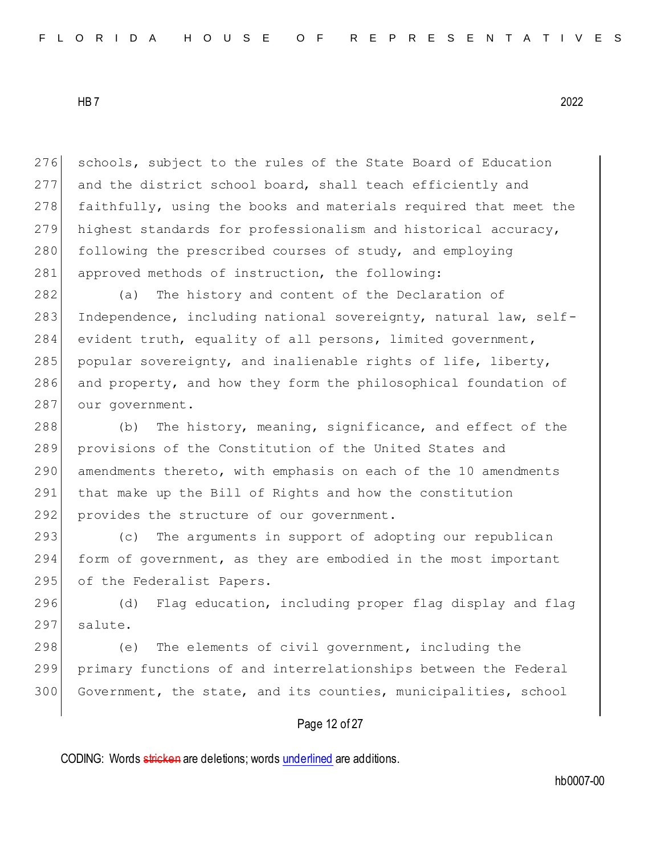276 schools, subject to the rules of the State Board of Education 277 and the district school board, shall teach efficiently and 278 faithfully, using the books and materials required that meet the 279 highest standards for professionalism and historical accuracy, 280 following the prescribed courses of study, and employing 281 approved methods of instruction, the following:

 (a) The history and content of the Declaration of 283 Independence, including national sovereignty, natural law, self- evident truth, equality of all persons, limited government, popular sovereignty, and inalienable rights of life, liberty, and property, and how they form the philosophical foundation of 287 our government.

288 (b) The history, meaning, significance, and effect of the 289 provisions of the Constitution of the United States and 290 amendments thereto, with emphasis on each of the 10 amendments 291 that make up the Bill of Rights and how the constitution 292 provides the structure of our government.

293 (c) The arguments in support of adopting our republican 294 form of government, as they are embodied in the most important 295 of the Federalist Papers.

296 (d) Flag education, including proper flag display and flag 297 salute.

298 (e) The elements of civil government, including the 299 primary functions of and interrelationships between the Federal 300 Government, the state, and its counties, municipalities, school

## Page 12 of 27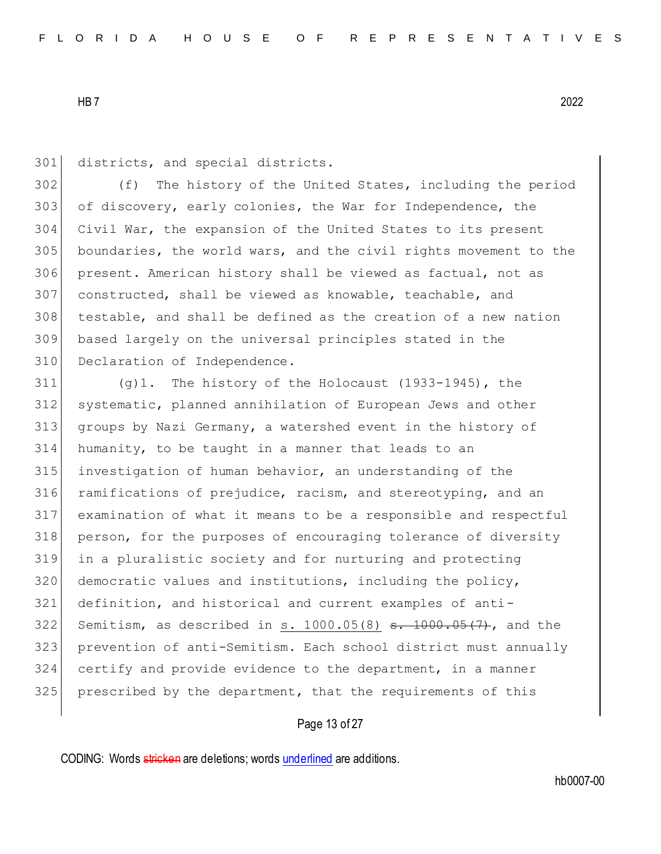301 districts, and special districts.

 (f) The history of the United States, including the period 303 of discovery, early colonies, the War for Independence, the Civil War, the expansion of the United States to its present 305 boundaries, the world wars, and the civil rights movement to the present. American history shall be viewed as factual, not as constructed, shall be viewed as knowable, teachable, and testable, and shall be defined as the creation of a new nation based largely on the universal principles stated in the 310 Declaration of Independence.

 (q)1. The history of the Holocaust (1933-1945), the systematic, planned annihilation of European Jews and other groups by Nazi Germany, a watershed event in the history of humanity, to be taught in a manner that leads to an investigation of human behavior, an understanding of the 316 ramifications of prejudice, racism, and stereotyping, and an examination of what it means to be a responsible and respectful person, for the purposes of encouraging tolerance of diversity in a pluralistic society and for nurturing and protecting 320 democratic values and institutions, including the policy, definition, and historical and current examples of anti-322 Semitism, as described in s.  $1000.05(8)$  s.  $1000.05(7)$ , and the prevention of anti-Semitism. Each school district must annually certify and provide evidence to the department, in a manner prescribed by the department, that the requirements of this

## Page 13 of 27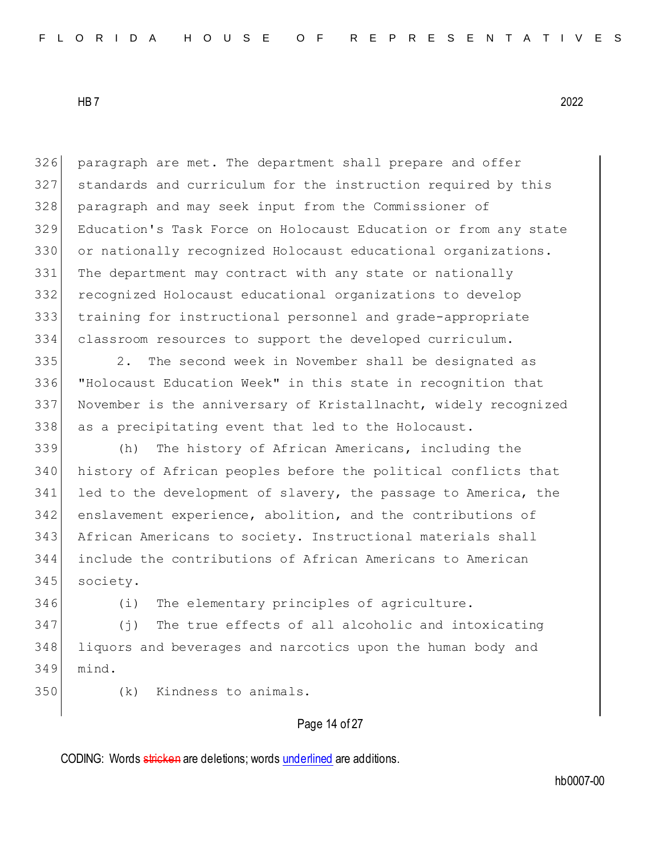paragraph are met. The department shall prepare and offer standards and curriculum for the instruction required by this paragraph and may seek input from the Commissioner of Education's Task Force on Holocaust Education or from any state or nationally recognized Holocaust educational organizations. 331 The department may contract with any state or nationally recognized Holocaust educational organizations to develop training for instructional personnel and grade-appropriate classroom resources to support the developed curriculum.

 2. The second week in November shall be designated as "Holocaust Education Week" in this state in recognition that November is the anniversary of Kristallnacht, widely recognized as a precipitating event that led to the Holocaust.

 (h) The history of African Americans, including the history of African peoples before the political conflicts that 341 led to the development of slavery, the passage to America, the enslavement experience, abolition, and the contributions of African Americans to society. Instructional materials shall include the contributions of African Americans to American society.

(i) The elementary principles of agriculture.

 (j) The true effects of all alcoholic and intoxicating liquors and beverages and narcotics upon the human body and mind.

(k) Kindness to animals.

### Page 14 of 27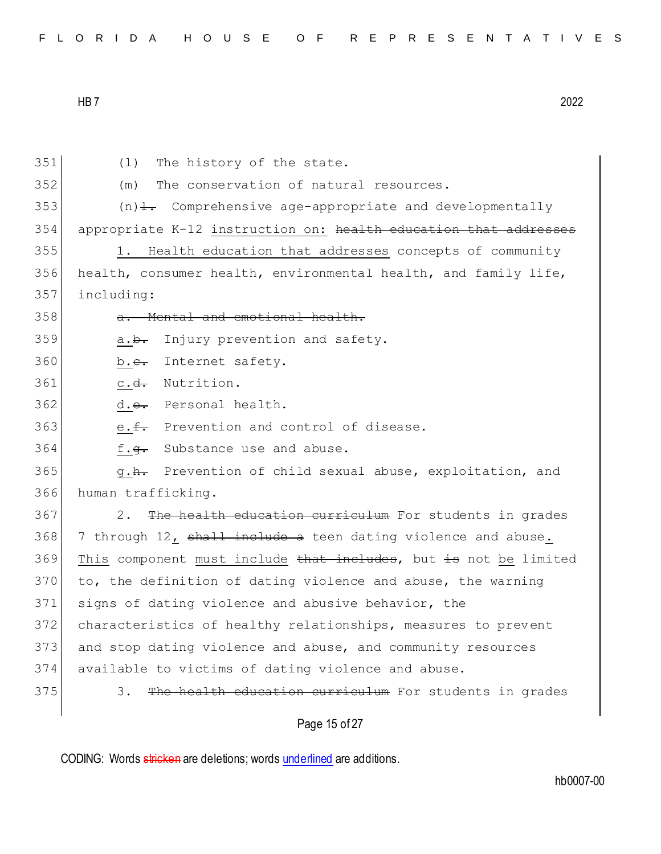| FLORIDA HOUSE OF REPRESENTATIVES |  |  |  |  |  |  |  |  |  |  |  |  |  |  |  |  |  |  |  |  |  |  |  |  |  |  |  |  |  |  |
|----------------------------------|--|--|--|--|--|--|--|--|--|--|--|--|--|--|--|--|--|--|--|--|--|--|--|--|--|--|--|--|--|--|
|----------------------------------|--|--|--|--|--|--|--|--|--|--|--|--|--|--|--|--|--|--|--|--|--|--|--|--|--|--|--|--|--|--|

351 (1) The history of the state. 352 (m) The conservation of natural resources.  $353$  (n)<del>1.</del> Comprehensive age-appropriate and developmentally 354 appropriate K-12 instruction on: health education that addresses 355 1. Health education that addresses concepts of community 356 health, consumer health, environmental health, and family life, 357 including: 358 a. Mental and emotional health.  $359$  a.b. Injury prevention and safety. 360 b.<del>c.</del> Internet safety. 361 c.<del>d.</del> Nutrition. 362 d.<del>e.</del> Personal health. 363 e.f. Prevention and control of disease. 364 f.g. Substance use and abuse. 365 g.<del>h.</del> Prevention of child sexual abuse, exploitation, and 366 human trafficking. 367 2. The health education curriculum For students in grades 368 7 through 12, shall include a teen dating violence and abuse. 369 This component must include that includes, but is not be limited  $370$  to, the definition of dating violence and abuse, the warning 371 signs of dating violence and abusive behavior, the 372 characteristics of healthy relationships, measures to prevent 373 and stop dating violence and abuse, and community resources 374 available to victims of dating violence and abuse. 375 3. The health education curriculum For students in grades

Page 15 of 27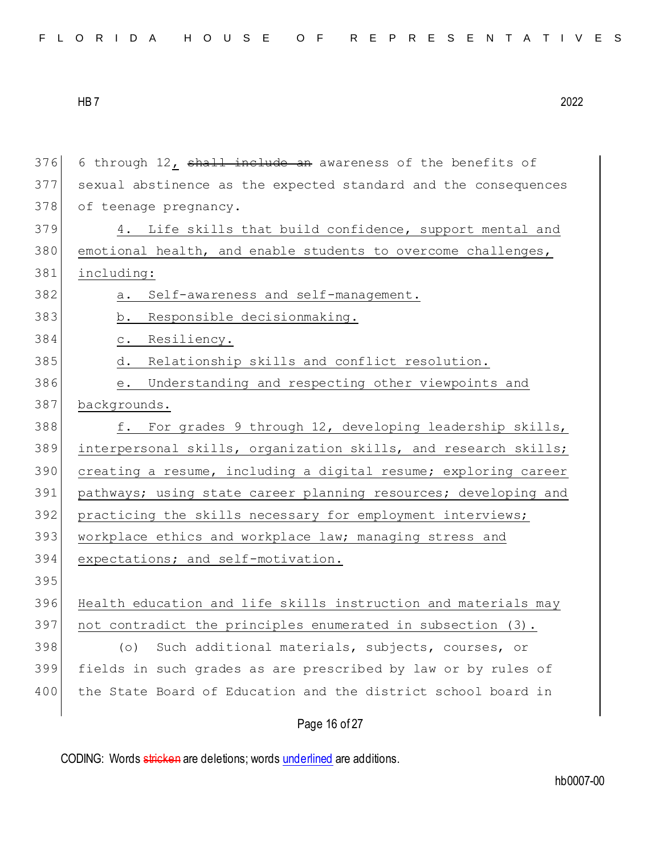| 376 | 6 through 12, shall include an awareness of the benefits of     |
|-----|-----------------------------------------------------------------|
| 377 | sexual abstinence as the expected standard and the consequences |
| 378 | of teenage pregnancy.                                           |
| 379 | Life skills that build confidence, support mental and<br>4.     |
| 380 | emotional health, and enable students to overcome challenges,   |
| 381 | including:                                                      |
| 382 | Self-awareness and self-management.<br>a.                       |
| 383 | b. Responsible decisionmaking.                                  |
| 384 | c. Resiliency.                                                  |
| 385 | Relationship skills and conflict resolution.<br>d.              |
| 386 | Understanding and respecting other viewpoints and<br>е.         |
| 387 | backgrounds.                                                    |
| 388 | For grades 9 through 12, developing leadership skills,<br>f.    |
| 389 | interpersonal skills, organization skills, and research skills; |
| 390 | creating a resume, including a digital resume; exploring career |
| 391 | pathways; using state career planning resources; developing and |
| 392 | practicing the skills necessary for employment interviews;      |
| 393 | workplace ethics and workplace law; managing stress and         |
| 394 | expectations; and self-motivation.                              |
| 395 |                                                                 |
| 396 | Health education and life skills instruction and materials may  |
| 397 | not contradict the principles enumerated in subsection (3).     |
| 398 | Such additional materials, subjects, courses, or<br>(0)         |
| 399 | fields in such grades as are prescribed by law or by rules of   |
| 400 | the State Board of Education and the district school board in   |
|     | Page 16 of 27                                                   |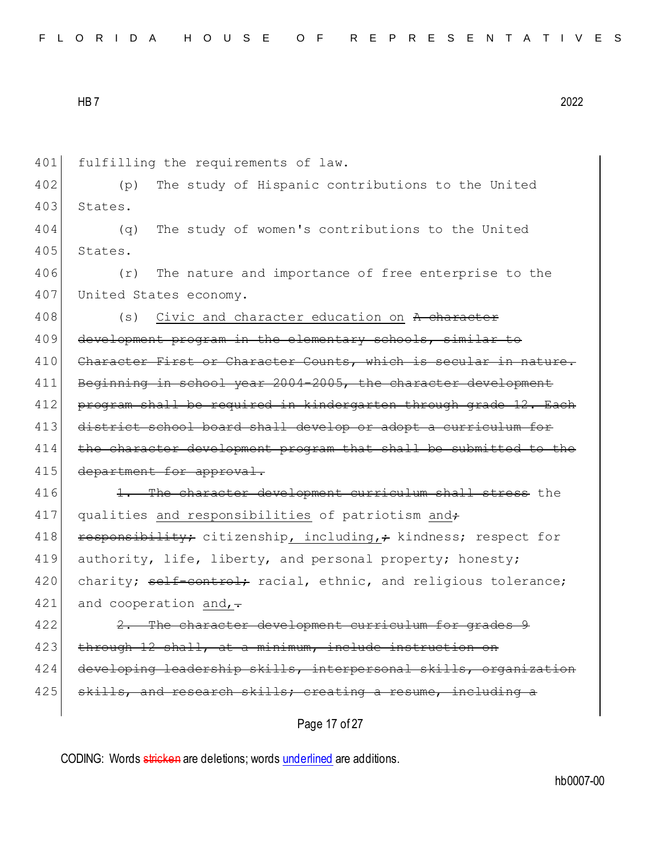| FLORIDA HOUSE OF REPRESENTATIVES |  |  |  |  |  |  |  |  |  |  |  |  |  |  |  |  |  |  |  |  |  |  |  |  |  |  |  |  |  |  |  |  |
|----------------------------------|--|--|--|--|--|--|--|--|--|--|--|--|--|--|--|--|--|--|--|--|--|--|--|--|--|--|--|--|--|--|--|--|
|----------------------------------|--|--|--|--|--|--|--|--|--|--|--|--|--|--|--|--|--|--|--|--|--|--|--|--|--|--|--|--|--|--|--|--|

401 fulfilling the requirements of law.

402 (p) The study of Hispanic contributions to the United 403 States.

404 (q) The study of women's contributions to the United 405 States.

406 (r) The nature and importance of free enterprise to the 407 United States economy.

408 (s) Civic and character education on A character 409 development program in the elementary schools, similar to 410 Character First or Character Counts, which is secular in nature. 411 Beginning in school year 2004-2005, the character development 412 program shall be required in kindergarten through grade 12. Each 413 district school board shall develop or adopt a curriculum for 414 the character development program that shall be submitted to the 415 department for approval.

416 1. The character development curriculum shall stress the 417 qualities and responsibilities of patriotism and 418 responsibility; citizenship, including,; kindness; respect for 419 authority, life, liberty, and personal property; honesty; 420 charity; self-control; racial, ethnic, and religious tolerance; 421 and cooperation and,  $\frac{1}{1}$ 

422 2. The character development curriculum for grades 9 423 through 12 shall, at a minimum, include instruction on 424 developing leadership skills, interpersonal skills, organization 425 skills, and research skills; creating a resume, including a

Page 17 of 27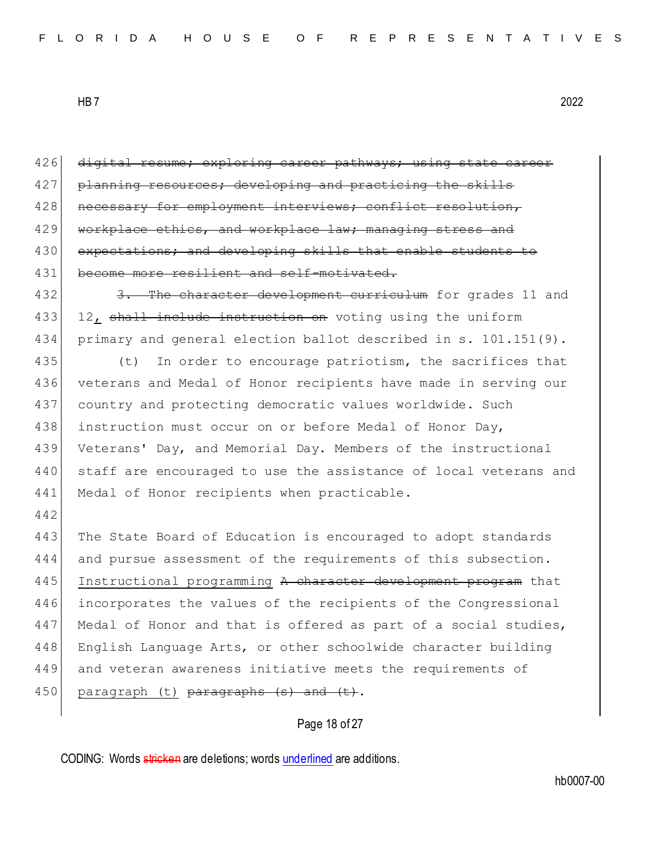426 digital resume; exploring career pathways; using state career 427 planning resources; developing and practicing the skills 428 | necessary for employment interviews; conflict resolution, 429 workplace ethics, and workplace law; managing stress and 430 expectations; and developing skills that enable students to 431 become more resilient and self-motivated. 432 3. The character development curriculum for grades 11 and 433 12, shall include instruction on voting using the uniform 434 primary and general election ballot described in s. 101.151(9). 435 (t) In order to encourage patriotism, the sacrifices that 436 veterans and Medal of Honor recipients have made in serving our 437 country and protecting democratic values worldwide. Such 438 instruction must occur on or before Medal of Honor Day, 439 Veterans' Day, and Memorial Day. Members of the instructional 440 staff are encouraged to use the assistance of local veterans and 441 Medal of Honor recipients when practicable. 442 443 The State Board of Education is encouraged to adopt standards 444 and pursue assessment of the requirements of this subsection. 445 Instructional programming A character development program that 446 incorporates the values of the recipients of the Congressional 447 Medal of Honor and that is offered as part of a social studies, 448 English Language Arts, or other schoolwide character building 449 and veteran awareness initiative meets the requirements of 450| paragraph (t) <del>paragraphs (s) and (t)</del>.

Page 18 of 27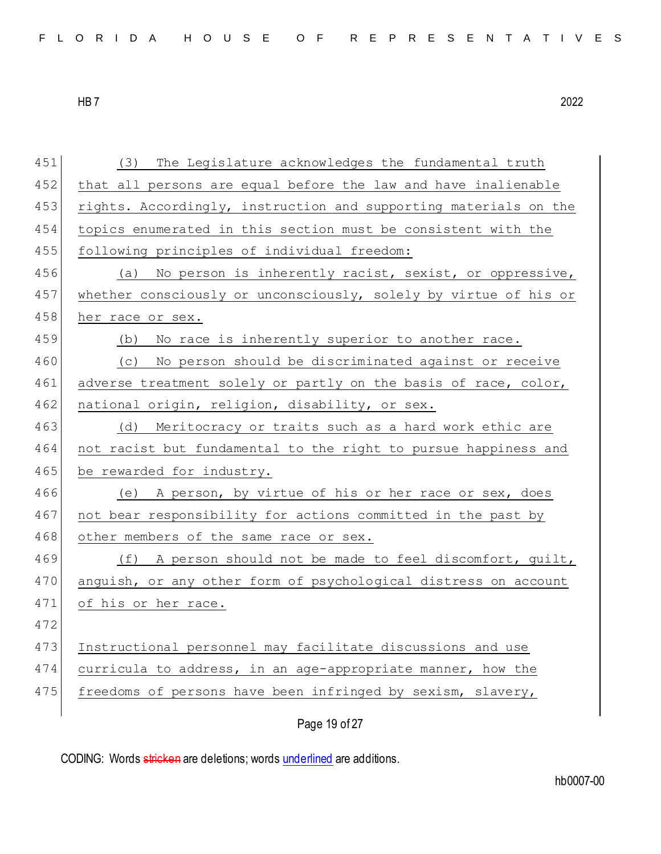| 451 | The Legislature acknowledges the fundamental truth<br>(3)        |
|-----|------------------------------------------------------------------|
| 452 | that all persons are equal before the law and have inalienable   |
| 453 | rights. Accordingly, instruction and supporting materials on the |
| 454 | topics enumerated in this section must be consistent with the    |
| 455 | following principles of individual freedom:                      |
| 456 | (a) No person is inherently racist, sexist, or oppressive,       |
| 457 | whether consciously or unconsciously, solely by virtue of his or |
| 458 | her race or sex.                                                 |
| 459 | No race is inherently superior to another race.<br>(b)           |
| 460 | (c) No person should be discriminated against or receive         |
| 461 | adverse treatment solely or partly on the basis of race, color,  |
| 462 | national origin, religion, disability, or sex.                   |
| 463 | Meritocracy or traits such as a hard work ethic are<br>(d)       |
| 464 | not racist but fundamental to the right to pursue happiness and  |
| 465 | be rewarded for industry.                                        |
| 466 | (e) A person, by virtue of his or her race or sex, does          |
| 467 | not bear responsibility for actions committed in the past by     |
| 468 | other members of the same race or sex.                           |
| 469 | (f) A person should not be made to feel discomfort, guilt,       |
| 470 | anguish, or any other form of psychological distress on account  |
| 471 | of his or her race.                                              |
| 472 |                                                                  |
| 473 | Instructional personnel may facilitate discussions and use       |
| 474 | curricula to address, in an age-appropriate manner, how the      |
| 475 | freedoms of persons have been infringed by sexism, slavery,      |
|     |                                                                  |

Page 19 of 27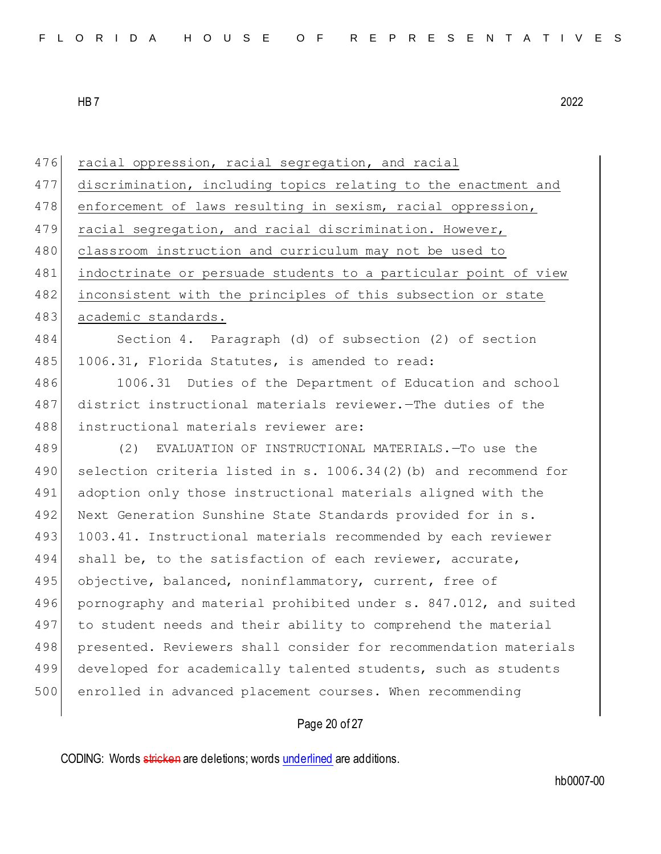476 racial oppression, racial segregation, and racial

477 discrimination, including topics relating to the enactment and

478 enforcement of laws resulting in sexism, racial oppression,

479 racial segregation, and racial discrimination. However,

HB 7 2022

480 classroom instruction and curriculum may not be used to 481 indoctrinate or persuade students to a particular point of view 482 inconsistent with the principles of this subsection or state 483 academic standards. 484 Section 4. Paragraph (d) of subsection (2) of section 485 1006.31, Florida Statutes, is amended to read: 486 1006.31 Duties of the Department of Education and school 487 district instructional materials reviewer.—The duties of the 488 instructional materials reviewer are: 489 (2) EVALUATION OF INSTRUCTIONAL MATERIALS.—To use the

490 selection criteria listed in s. 1006.34(2)(b) and recommend for 491 adoption only those instructional materials aligned with the 492 Next Generation Sunshine State Standards provided for in s. 493 1003.41. Instructional materials recommended by each reviewer 494 shall be, to the satisfaction of each reviewer, accurate, 495 objective, balanced, noninflammatory, current, free of 496 pornography and material prohibited under s. 847.012, and suited 497 to student needs and their ability to comprehend the material 498 presented. Reviewers shall consider for recommendation materials 499 developed for academically talented students, such as students 500 enrolled in advanced placement courses. When recommending

### Page 20 of 27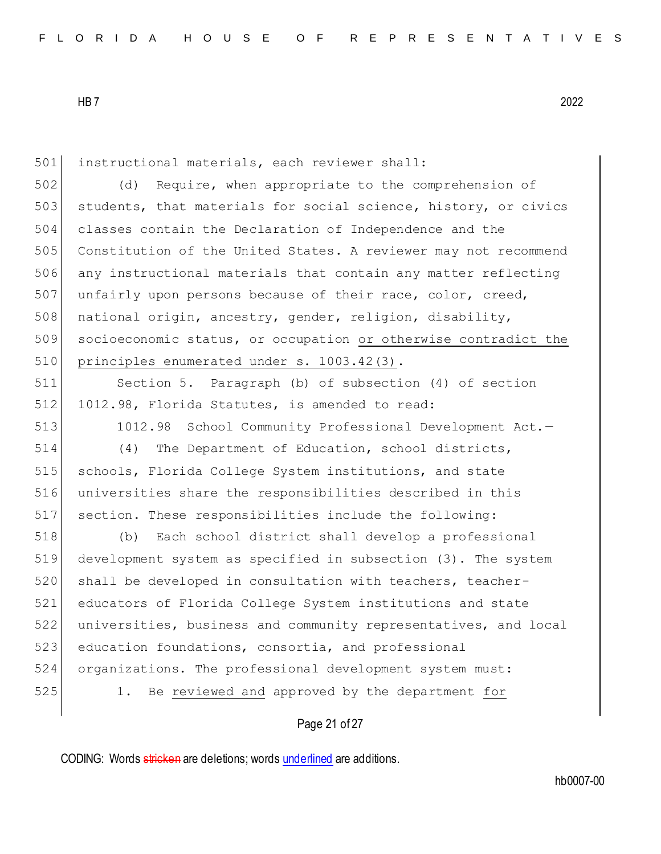instructional materials, each reviewer shall: (d) Require, when appropriate to the comprehension of 503 students, that materials for social science, history, or civics classes contain the Declaration of Independence and the Constitution of the United States. A reviewer may not recommend any instructional materials that contain any matter reflecting 507 unfairly upon persons because of their race, color, creed, 508 national origin, ancestry, gender, religion, disability, 509 socioeconomic status, or occupation or otherwise contradict the 510 principles enumerated under s. 1003.42(3). Section 5. Paragraph (b) of subsection (4) of section 512 1012.98, Florida Statutes, is amended to read: 1012.98 School Community Professional Development Act.— (4) The Department of Education, school districts, schools, Florida College System institutions, and state universities share the responsibilities described in this section. These responsibilities include the following: (b) Each school district shall develop a professional development system as specified in subsection (3). The system 520 shall be developed in consultation with teachers, teacher- educators of Florida College System institutions and state universities, business and community representatives, and local 523 education foundations, consortia, and professional organizations. The professional development system must: 1. Be reviewed and approved by the department for

Page 21 of 27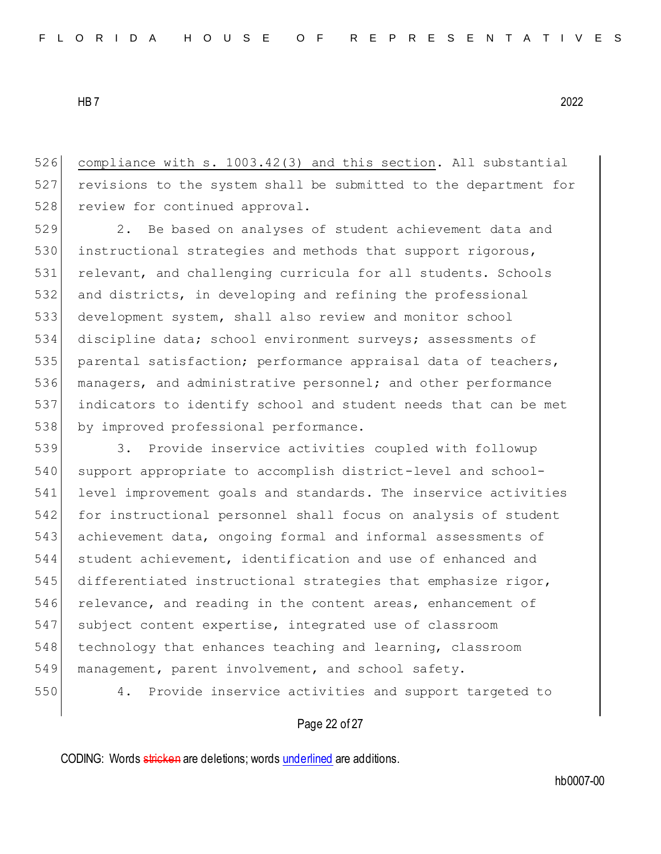526 compliance with s. 1003.42(3) and this section. All substantial 527 revisions to the system shall be submitted to the department for 528 review for continued approval.

529 2. Be based on analyses of student achievement data and 530 instructional strategies and methods that support rigorous, 531 relevant, and challenging curricula for all students. Schools 532 and districts, in developing and refining the professional 533 development system, shall also review and monitor school 534 discipline data; school environment surveys; assessments of 535 parental satisfaction; performance appraisal data of teachers, 536 managers, and administrative personnel; and other performance 537 indicators to identify school and student needs that can be met 538 by improved professional performance.

539 3. Provide inservice activities coupled with followup support appropriate to accomplish district-level and school- level improvement goals and standards. The inservice activities for instructional personnel shall focus on analysis of student achievement data, ongoing formal and informal assessments of 544 student achievement, identification and use of enhanced and 545 differentiated instructional strategies that emphasize rigor, relevance, and reading in the content areas, enhancement of subject content expertise, integrated use of classroom 548 technology that enhances teaching and learning, classroom management, parent involvement, and school safety. 4. Provide inservice activities and support targeted to

### Page 22 of 27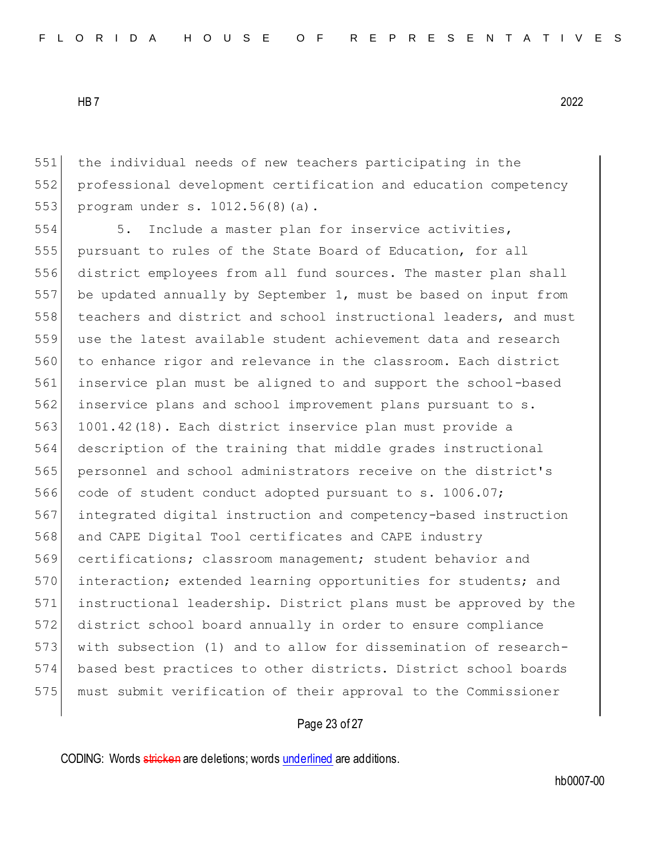the individual needs of new teachers participating in the professional development certification and education competency 553 program under s. 1012.56(8)(a).

554 5. Include a master plan for inservice activities, pursuant to rules of the State Board of Education, for all district employees from all fund sources. The master plan shall be updated annually by September 1, must be based on input from teachers and district and school instructional leaders, and must use the latest available student achievement data and research to enhance rigor and relevance in the classroom. Each district inservice plan must be aligned to and support the school-based inservice plans and school improvement plans pursuant to s. 1001.42(18). Each district inservice plan must provide a description of the training that middle grades instructional personnel and school administrators receive on the district's 566 code of student conduct adopted pursuant to s. 1006.07; integrated digital instruction and competency-based instruction and CAPE Digital Tool certificates and CAPE industry certifications; classroom management; student behavior and 570 interaction; extended learning opportunities for students; and instructional leadership. District plans must be approved by the district school board annually in order to ensure compliance with subsection (1) and to allow for dissemination of research- based best practices to other districts. District school boards must submit verification of their approval to the Commissioner

## Page 23 of 27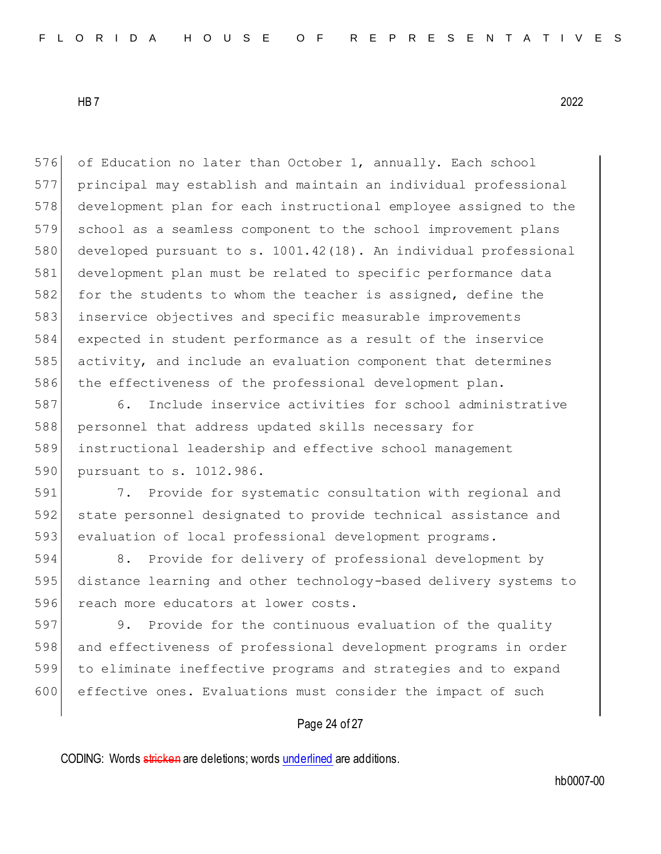576 of Education no later than October 1, annually. Each school principal may establish and maintain an individual professional development plan for each instructional employee assigned to the school as a seamless component to the school improvement plans developed pursuant to s. 1001.42(18). An individual professional development plan must be related to specific performance data 582 for the students to whom the teacher is assigned, define the inservice objectives and specific measurable improvements expected in student performance as a result of the inservice activity, and include an evaluation component that determines the effectiveness of the professional development plan.

 6. Include inservice activities for school administrative personnel that address updated skills necessary for instructional leadership and effective school management 590 pursuant to s. 1012.986.

 7. Provide for systematic consultation with regional and state personnel designated to provide technical assistance and evaluation of local professional development programs.

 8. Provide for delivery of professional development by distance learning and other technology-based delivery systems to 596 reach more educators at lower costs.

 9. Provide for the continuous evaluation of the quality and effectiveness of professional development programs in order to eliminate ineffective programs and strategies and to expand effective ones. Evaluations must consider the impact of such

## Page 24 of 27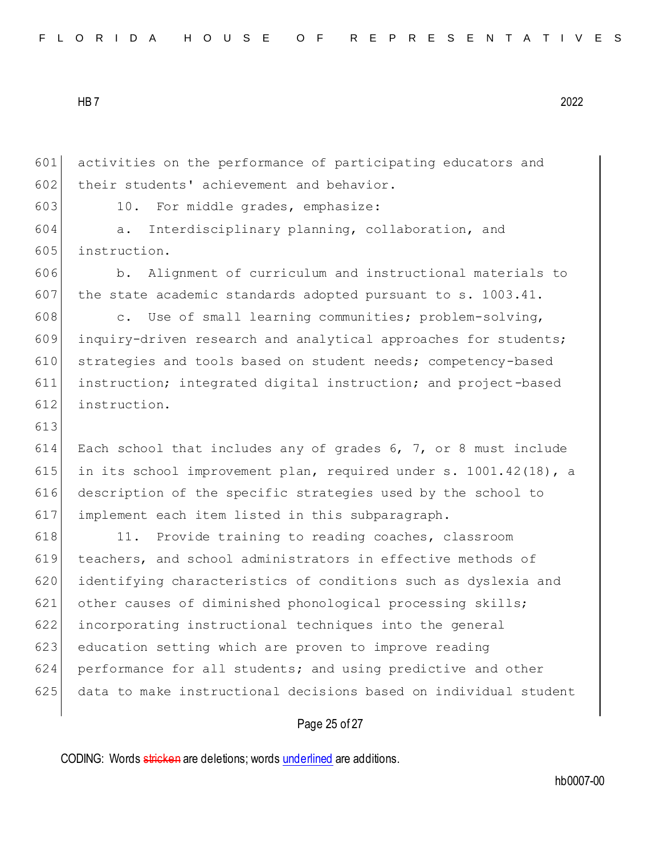|  |  |  |  |  |  |  |  |  |  |  |  |  |  | FLORIDA HOUSE OF REPRESENTATIVES |  |  |  |  |  |  |  |  |  |  |  |  |  |  |  |  |  |
|--|--|--|--|--|--|--|--|--|--|--|--|--|--|----------------------------------|--|--|--|--|--|--|--|--|--|--|--|--|--|--|--|--|--|
|--|--|--|--|--|--|--|--|--|--|--|--|--|--|----------------------------------|--|--|--|--|--|--|--|--|--|--|--|--|--|--|--|--|--|

601 activities on the performance of participating educators and 602 their students' achievement and behavior.

603 10. For middle grades, emphasize:

604 a. Interdisciplinary planning, collaboration, and 605 instruction.

606 b. Alignment of curriculum and instructional materials to 607 the state academic standards adopted pursuant to s.  $1003.41$ .

608 c. Use of small learning communities; problem-solving, 609 inquiry-driven research and analytical approaches for students; 610 strategies and tools based on student needs; competency-based 611 instruction; integrated digital instruction; and project-based 612 instruction.

613

 Each school that includes any of grades 6, 7, or 8 must include 615 in its school improvement plan, required under s. 1001.42(18), a description of the specific strategies used by the school to implement each item listed in this subparagraph.

618 11. Provide training to reading coaches, classroom teachers, and school administrators in effective methods of identifying characteristics of conditions such as dyslexia and 621 other causes of diminished phonological processing skills; incorporating instructional techniques into the general 623 education setting which are proven to improve reading performance for all students; and using predictive and other data to make instructional decisions based on individual student

### Page 25 of 27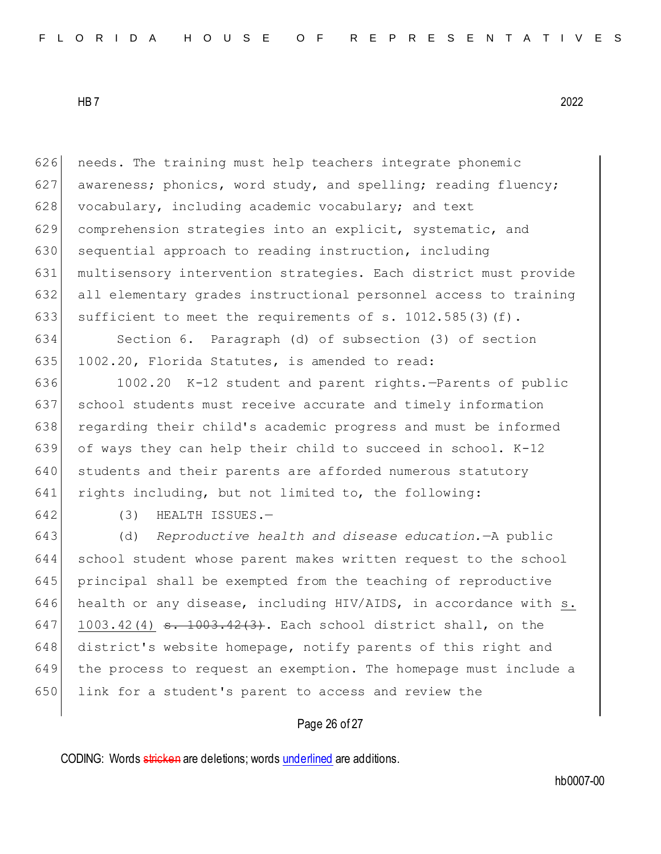626 needs. The training must help teachers integrate phonemic 627 awareness; phonics, word study, and spelling; reading fluency; 628 vocabulary, including academic vocabulary; and text 629 comprehension strategies into an explicit, systematic, and 630 sequential approach to reading instruction, including 631 multisensory intervention strategies. Each district must provide 632 all elementary grades instructional personnel access to training 633 sufficient to meet the requirements of s. 1012.585(3)(f).

634 Section 6. Paragraph (d) of subsection (3) of section 635 1002.20, Florida Statutes, is amended to read:

636 1002.20 K-12 student and parent rights.—Parents of public 637 school students must receive accurate and timely information 638 regarding their child's academic progress and must be informed 639 of ways they can help their child to succeed in school. K-12 640 students and their parents are afforded numerous statutory 641 rights including, but not limited to, the following:

642 (3) HEALTH ISSUES.—

643 (d) *Reproductive health and disease education.*—A public 644 school student whose parent makes written request to the school 645 principal shall be exempted from the teaching of reproductive 646 health or any disease, including HIV/AIDS, in accordance with s. 647 1003.42(4)  $\frac{1003.42(3)}{1003.42(3)}$ . Each school district shall, on the 648 district's website homepage, notify parents of this right and 649 the process to request an exemption. The homepage must include a 650 link for a student's parent to access and review the

### Page 26 of 27